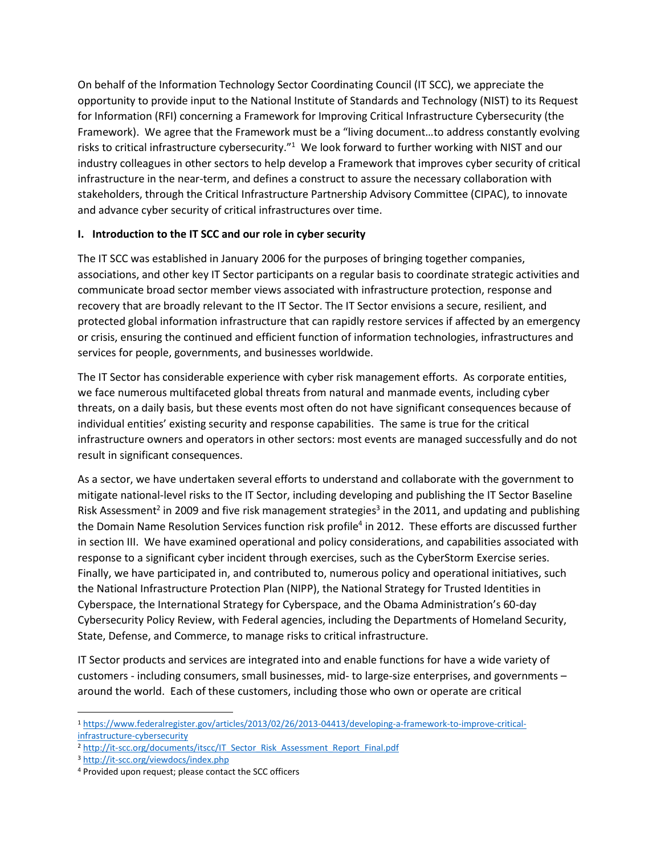On behalf of the Information Technology Sector Coordinating Council (IT SCC), we appreciate the opportunity to provide input to the National Institute of Standards and Technology (NIST) to its Request for Information (RFI) concerning a Framework for Improving Critical Infrastructure Cybersecurity (the Framework). We agree that the Framework must be a "living document…to address constantly evolving risks to critical infrastructure cybersecurity."<sup>1</sup> We look forward to further working with NIST and our industry colleagues in other sectors to help develop a Framework that improves cyber security of critical infrastructure in the near-term, and defines a construct to assure the necessary collaboration with stakeholders, through the Critical Infrastructure Partnership Advisory Committee (CIPAC), to innovate and advance cyber security of critical infrastructures over time.

### **I. Introduction to the IT SCC and our role in cyber security**

The IT SCC was established in January 2006 for the purposes of bringing together companies, associations, and other key IT Sector participants on a regular basis to coordinate strategic activities and communicate broad sector member views associated with infrastructure protection, response and recovery that are broadly relevant to the IT Sector. The IT Sector envisions a secure, resilient, and protected global information infrastructure that can rapidly restore services if affected by an emergency or crisis, ensuring the continued and efficient function of information technologies, infrastructures and services for people, governments, and businesses worldwide.

The IT Sector has considerable experience with cyber risk management efforts. As corporate entities, we face numerous multifaceted global threats from natural and manmade events, including cyber threats, on a daily basis, but these events most often do not have significant consequences because of individual entities' existing security and response capabilities. The same is true for the critical infrastructure owners and operators in other sectors: most events are managed successfully and do not result in significant consequences.

As a sector, we have undertaken several efforts to understand and collaborate with the government to mitigate national-level risks to the IT Sector, including developing and publishing the IT Sector Baseline Risk Assessment<sup>2</sup> in 2009 and five risk management strategies<sup>3</sup> in the 2011, and updating and publishing the Domain Name Resolution Services function risk profile<sup>4</sup> in 2012. These efforts are discussed further in section III. We have examined operational and policy considerations, and capabilities associated with response to a significant cyber incident through exercises, such as the CyberStorm Exercise series. Finally, we have participated in, and contributed to, numerous policy and operational initiatives, such the National Infrastructure Protection Plan (NIPP), the National Strategy for Trusted Identities in Cyberspace, the International Strategy for Cyberspace, and the Obama Administration's 60-day Cybersecurity Policy Review, with Federal agencies, including the Departments of Homeland Security, State, Defense, and Commerce, to manage risks to critical infrastructure.

IT Sector products and services are integrated into and enable functions for have a wide variety of customers - including consumers, small businesses, mid- to large-size enterprises, and governments – around the world. Each of these customers, including those who own or operate are critical

 $\overline{\phantom{a}}$ 

<sup>1</sup> [https://www.federalregister.gov/articles/2013/02/26/2013-04413/developing-a-framework-to-improve-critical](https://www.federalregister.gov/articles/2013/02/26/2013-04413/developing-a-framework-to-improve-critical-%20infrastructure-cybersecurity)[infrastructure-cybersecurity](https://www.federalregister.gov/articles/2013/02/26/2013-04413/developing-a-framework-to-improve-critical-%20infrastructure-cybersecurity)

<sup>&</sup>lt;sup>2</sup> [http://it-scc.org/documents/itscc/IT\\_Sector\\_Risk\\_Assessment\\_Report\\_Final.pdf](http://it-scc.org/documents/itscc/IT_Sector_Risk_Assessment_Report_Final.pdf)

<sup>3</sup> <http://it-scc.org/viewdocs/index.php>

<sup>4</sup> Provided upon request; please contact the SCC officers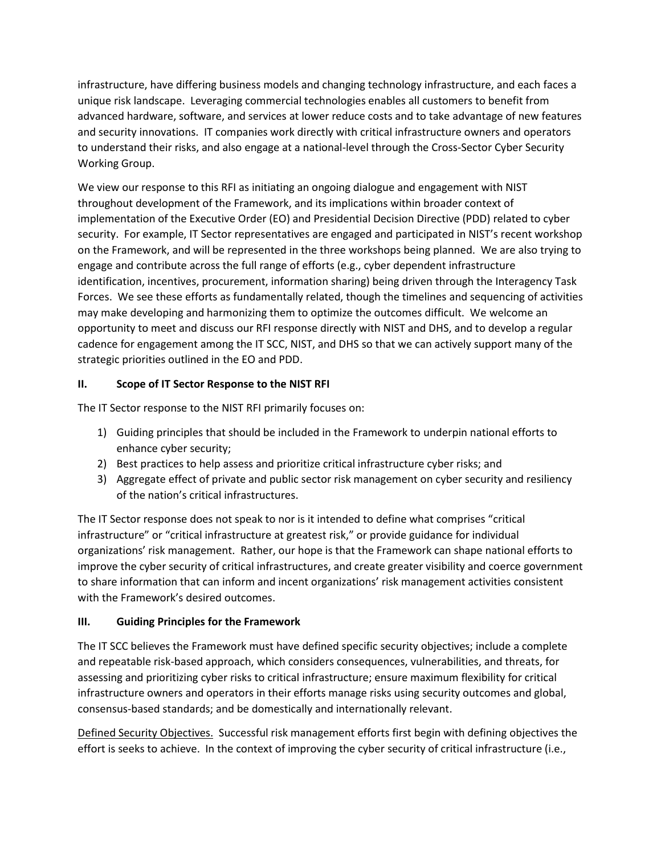infrastructure, have differing business models and changing technology infrastructure, and each faces a unique risk landscape. Leveraging commercial technologies enables all customers to benefit from advanced hardware, software, and services at lower reduce costs and to take advantage of new features and security innovations. IT companies work directly with critical infrastructure owners and operators to understand their risks, and also engage at a national-level through the Cross-Sector Cyber Security Working Group.

We view our response to this RFI as initiating an ongoing dialogue and engagement with NIST throughout development of the Framework, and its implications within broader context of implementation of the Executive Order (EO) and Presidential Decision Directive (PDD) related to cyber security. For example, IT Sector representatives are engaged and participated in NIST's recent workshop on the Framework, and will be represented in the three workshops being planned. We are also trying to engage and contribute across the full range of efforts (e.g., cyber dependent infrastructure identification, incentives, procurement, information sharing) being driven through the Interagency Task Forces. We see these efforts as fundamentally related, though the timelines and sequencing of activities may make developing and harmonizing them to optimize the outcomes difficult. We welcome an opportunity to meet and discuss our RFI response directly with NIST and DHS, and to develop a regular cadence for engagement among the IT SCC, NIST, and DHS so that we can actively support many of the strategic priorities outlined in the EO and PDD.

## **II. Scope of IT Sector Response to the NIST RFI**

The IT Sector response to the NIST RFI primarily focuses on:

- 1) Guiding principles that should be included in the Framework to underpin national efforts to enhance cyber security;
- 2) Best practices to help assess and prioritize critical infrastructure cyber risks; and
- 3) Aggregate effect of private and public sector risk management on cyber security and resiliency of the nation's critical infrastructures.

The IT Sector response does not speak to nor is it intended to define what comprises "critical infrastructure" or "critical infrastructure at greatest risk," or provide guidance for individual organizations' risk management. Rather, our hope is that the Framework can shape national efforts to improve the cyber security of critical infrastructures, and create greater visibility and coerce government to share information that can inform and incent organizations' risk management activities consistent with the Framework's desired outcomes.

## **III. Guiding Principles for the Framework**

The IT SCC believes the Framework must have defined specific security objectives; include a complete and repeatable risk-based approach, which considers consequences, vulnerabilities, and threats, for assessing and prioritizing cyber risks to critical infrastructure; ensure maximum flexibility for critical infrastructure owners and operators in their efforts manage risks using security outcomes and global, consensus-based standards; and be domestically and internationally relevant.

Defined Security Objectives. Successful risk management efforts first begin with defining objectives the effort is seeks to achieve. In the context of improving the cyber security of critical infrastructure (i.e.,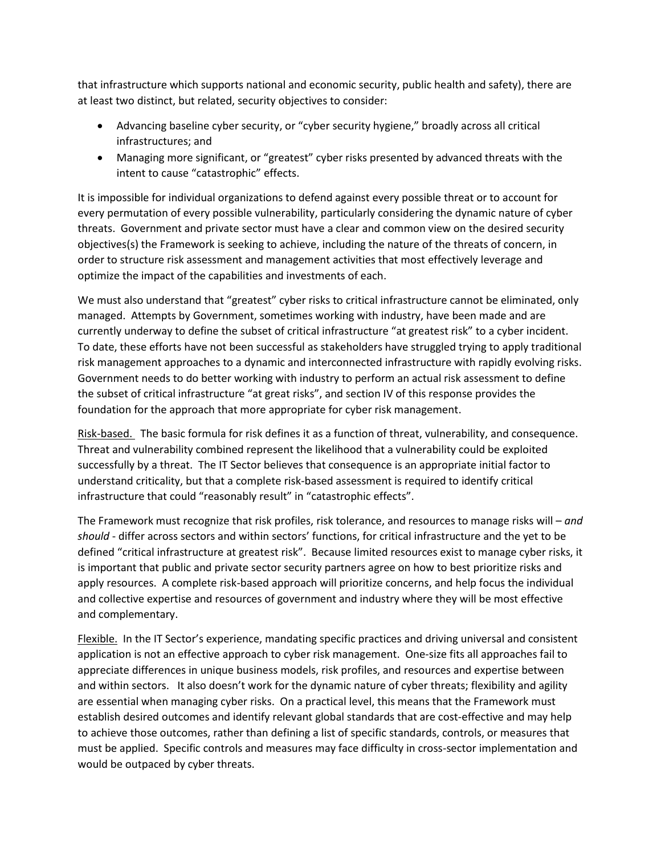that infrastructure which supports national and economic security, public health and safety), there are at least two distinct, but related, security objectives to consider:

- Advancing baseline cyber security, or "cyber security hygiene," broadly across all critical infrastructures; and
- Managing more significant, or "greatest" cyber risks presented by advanced threats with the intent to cause "catastrophic" effects.

It is impossible for individual organizations to defend against every possible threat or to account for every permutation of every possible vulnerability, particularly considering the dynamic nature of cyber threats. Government and private sector must have a clear and common view on the desired security objectives(s) the Framework is seeking to achieve, including the nature of the threats of concern, in order to structure risk assessment and management activities that most effectively leverage and optimize the impact of the capabilities and investments of each.

We must also understand that "greatest" cyber risks to critical infrastructure cannot be eliminated, only managed. Attempts by Government, sometimes working with industry, have been made and are currently underway to define the subset of critical infrastructure "at greatest risk" to a cyber incident. To date, these efforts have not been successful as stakeholders have struggled trying to apply traditional risk management approaches to a dynamic and interconnected infrastructure with rapidly evolving risks. Government needs to do better working with industry to perform an actual risk assessment to define the subset of critical infrastructure "at great risks", and section IV of this response provides the foundation for the approach that more appropriate for cyber risk management.

Risk-based. The basic formula for risk defines it as a function of threat, vulnerability, and consequence. Threat and vulnerability combined represent the likelihood that a vulnerability could be exploited successfully by a threat. The IT Sector believes that consequence is an appropriate initial factor to understand criticality, but that a complete risk-based assessment is required to identify critical infrastructure that could "reasonably result" in "catastrophic effects".

The Framework must recognize that risk profiles, risk tolerance, and resources to manage risks will – *and should* - differ across sectors and within sectors' functions, for critical infrastructure and the yet to be defined "critical infrastructure at greatest risk". Because limited resources exist to manage cyber risks, it is important that public and private sector security partners agree on how to best prioritize risks and apply resources. A complete risk-based approach will prioritize concerns, and help focus the individual and collective expertise and resources of government and industry where they will be most effective and complementary.

Flexible. In the IT Sector's experience, mandating specific practices and driving universal and consistent application is not an effective approach to cyber risk management. One-size fits all approaches fail to appreciate differences in unique business models, risk profiles, and resources and expertise between and within sectors. It also doesn't work for the dynamic nature of cyber threats; flexibility and agility are essential when managing cyber risks. On a practical level, this means that the Framework must establish desired outcomes and identify relevant global standards that are cost-effective and may help to achieve those outcomes, rather than defining a list of specific standards, controls, or measures that must be applied. Specific controls and measures may face difficulty in cross-sector implementation and would be outpaced by cyber threats.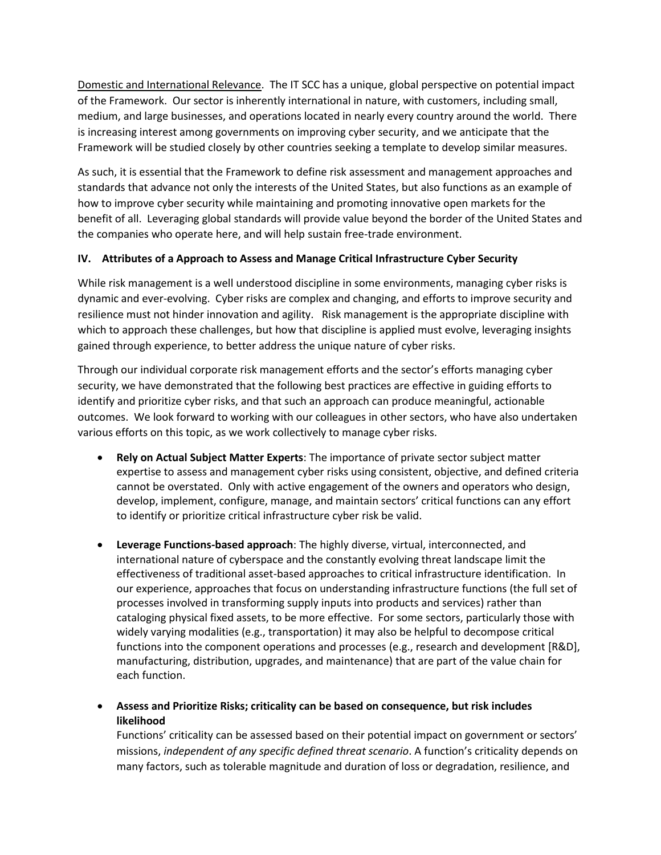Domestic and International Relevance. The IT SCC has a unique, global perspective on potential impact of the Framework. Our sector is inherently international in nature, with customers, including small, medium, and large businesses, and operations located in nearly every country around the world. There is increasing interest among governments on improving cyber security, and we anticipate that the Framework will be studied closely by other countries seeking a template to develop similar measures.

As such, it is essential that the Framework to define risk assessment and management approaches and standards that advance not only the interests of the United States, but also functions as an example of how to improve cyber security while maintaining and promoting innovative open markets for the benefit of all. Leveraging global standards will provide value beyond the border of the United States and the companies who operate here, and will help sustain free-trade environment.

## **IV. Attributes of a Approach to Assess and Manage Critical Infrastructure Cyber Security**

While risk management is a well understood discipline in some environments, managing cyber risks is dynamic and ever-evolving. Cyber risks are complex and changing, and efforts to improve security and resilience must not hinder innovation and agility. Risk management is the appropriate discipline with which to approach these challenges, but how that discipline is applied must evolve, leveraging insights gained through experience, to better address the unique nature of cyber risks.

Through our individual corporate risk management efforts and the sector's efforts managing cyber security, we have demonstrated that the following best practices are effective in guiding efforts to identify and prioritize cyber risks, and that such an approach can produce meaningful, actionable outcomes. We look forward to working with our colleagues in other sectors, who have also undertaken various efforts on this topic, as we work collectively to manage cyber risks.

- **Rely on Actual Subject Matter Experts**: The importance of private sector subject matter expertise to assess and management cyber risks using consistent, objective, and defined criteria cannot be overstated. Only with active engagement of the owners and operators who design, develop, implement, configure, manage, and maintain sectors' critical functions can any effort to identify or prioritize critical infrastructure cyber risk be valid.
- **Leverage Functions-based approach**: The highly diverse, virtual, interconnected, and international nature of cyberspace and the constantly evolving threat landscape limit the effectiveness of traditional asset-based approaches to critical infrastructure identification. In our experience, approaches that focus on understanding infrastructure functions (the full set of processes involved in transforming supply inputs into products and services) rather than cataloging physical fixed assets, to be more effective. For some sectors, particularly those with widely varying modalities (e.g., transportation) it may also be helpful to decompose critical functions into the component operations and processes (e.g., research and development [R&D], manufacturing, distribution, upgrades, and maintenance) that are part of the value chain for each function.

 **Assess and Prioritize Risks; criticality can be based on consequence, but risk includes likelihood**

Functions' criticality can be assessed based on their potential impact on government or sectors' missions, *independent of any specific defined threat scenario*. A function's criticality depends on many factors, such as tolerable magnitude and duration of loss or degradation, resilience, and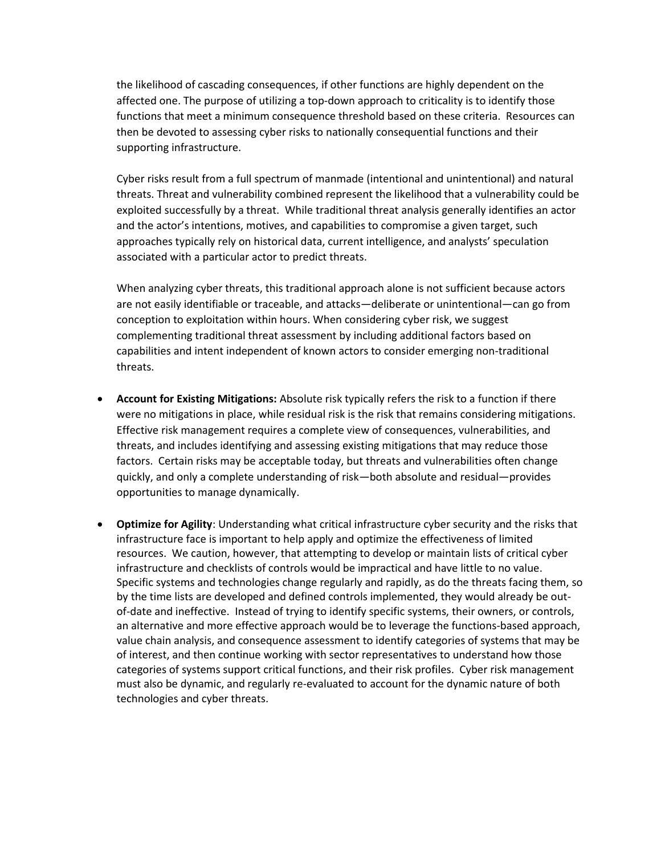the likelihood of cascading consequences, if other functions are highly dependent on the affected one. The purpose of utilizing a top-down approach to criticality is to identify those functions that meet a minimum consequence threshold based on these criteria. Resources can then be devoted to assessing cyber risks to nationally consequential functions and their supporting infrastructure.

Cyber risks result from a full spectrum of manmade (intentional and unintentional) and natural threats. Threat and vulnerability combined represent the likelihood that a vulnerability could be exploited successfully by a threat. While traditional threat analysis generally identifies an actor and the actor's intentions, motives, and capabilities to compromise a given target, such approaches typically rely on historical data, current intelligence, and analysts' speculation associated with a particular actor to predict threats.

When analyzing cyber threats, this traditional approach alone is not sufficient because actors are not easily identifiable or traceable, and attacks—deliberate or unintentional—can go from conception to exploitation within hours. When considering cyber risk, we suggest complementing traditional threat assessment by including additional factors based on capabilities and intent independent of known actors to consider emerging non-traditional threats.

- **Account for Existing Mitigations:** Absolute risk typically refers the risk to a function if there were no mitigations in place, while residual risk is the risk that remains considering mitigations. Effective risk management requires a complete view of consequences, vulnerabilities, and threats, and includes identifying and assessing existing mitigations that may reduce those factors. Certain risks may be acceptable today, but threats and vulnerabilities often change quickly, and only a complete understanding of risk—both absolute and residual—provides opportunities to manage dynamically.
- **Optimize for Agility**: Understanding what critical infrastructure cyber security and the risks that infrastructure face is important to help apply and optimize the effectiveness of limited resources. We caution, however, that attempting to develop or maintain lists of critical cyber infrastructure and checklists of controls would be impractical and have little to no value. Specific systems and technologies change regularly and rapidly, as do the threats facing them, so by the time lists are developed and defined controls implemented, they would already be outof-date and ineffective. Instead of trying to identify specific systems, their owners, or controls, an alternative and more effective approach would be to leverage the functions-based approach, value chain analysis, and consequence assessment to identify categories of systems that may be of interest, and then continue working with sector representatives to understand how those categories of systems support critical functions, and their risk profiles. Cyber risk management must also be dynamic, and regularly re-evaluated to account for the dynamic nature of both technologies and cyber threats.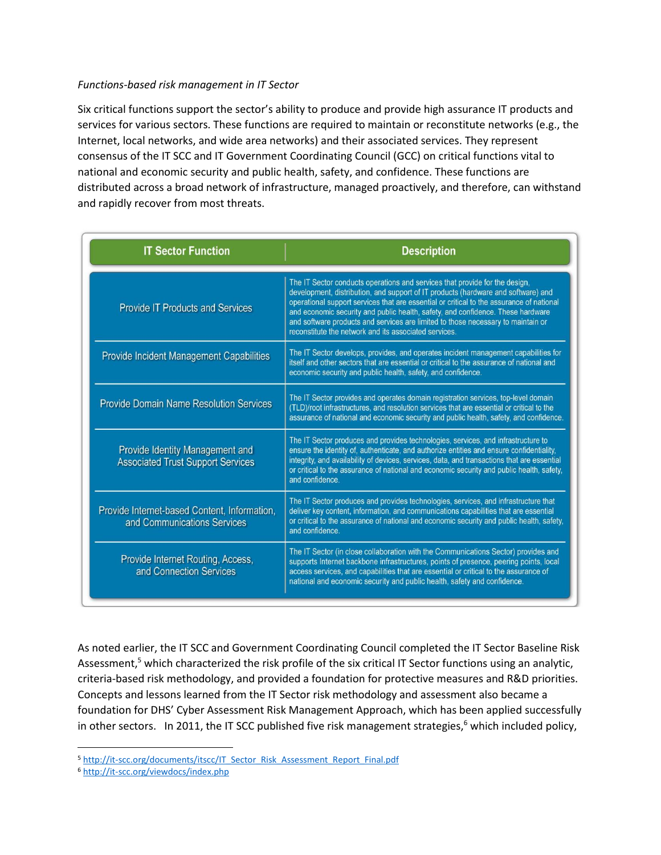#### *Functions-based risk management in IT Sector*

Six critical functions support the sector's ability to produce and provide high assurance IT products and services for various sectors. These functions are required to maintain or reconstitute networks (e.g., the Internet, local networks, and wide area networks) and their associated services. They represent consensus of the IT SCC and IT Government Coordinating Council (GCC) on critical functions vital to national and economic security and public health, safety, and confidence. These functions are distributed across a broad network of infrastructure, managed proactively, and therefore, can withstand and rapidly recover from most threats.

| <b>IT Sector Function</b>                                                   | <b>Description</b>                                                                                                                                                                                                                                                                                                                                                                                                                                                                           |
|-----------------------------------------------------------------------------|----------------------------------------------------------------------------------------------------------------------------------------------------------------------------------------------------------------------------------------------------------------------------------------------------------------------------------------------------------------------------------------------------------------------------------------------------------------------------------------------|
| <b>Provide IT Products and Services</b>                                     | The IT Sector conducts operations and services that provide for the design,<br>development, distribution, and support of IT products (hardware and software) and<br>operational support services that are essential or critical to the assurance of national<br>and economic security and public health, safety, and confidence. These hardware<br>and software products and services are limited to those necessary to maintain or<br>reconstitute the network and its associated services. |
| <b>Provide Incident Management Capabilities</b>                             | The IT Sector develops, provides, and operates incident management capabilities for<br>itself and other sectors that are essential or critical to the assurance of national and<br>economic security and public health, safety, and confidence.                                                                                                                                                                                                                                              |
| <b>Provide Domain Name Resolution Services</b>                              | The IT Sector provides and operates domain registration services, top-level domain<br>(TLD)/root infrastructures, and resolution services that are essential or critical to the<br>assurance of national and economic security and public health, safety, and confidence.                                                                                                                                                                                                                    |
| Provide Identity Management and<br><b>Associated Trust Support Services</b> | The IT Sector produces and provides technologies, services, and infrastructure to<br>ensure the identity of, authenticate, and authorize entities and ensure confidentiality,<br>integrity, and availability of devices, services, data, and transactions that are essential<br>or critical to the assurance of national and economic security and public health, safety,<br>and confidence.                                                                                                 |
| Provide Internet-based Content, Information,<br>and Communications Services | The IT Sector produces and provides technologies, services, and infrastructure that<br>deliver key content, information, and communications capabilities that are essential<br>or critical to the assurance of national and economic security and public health, safety,<br>and confidence.                                                                                                                                                                                                  |
| Provide Internet Routing, Access,<br>and Connection Services                | The IT Sector (in close collaboration with the Communications Sector) provides and<br>supports Internet backbone infrastructures, points of presence, peering points, local<br>access services, and capabilities that are essential or critical to the assurance of<br>national and economic security and public health, safety and confidence.                                                                                                                                              |

As noted earlier, the IT SCC and Government Coordinating Council completed the IT Sector Baseline Risk Assessment,<sup>5</sup> which characterized the risk profile of the six critical IT Sector functions using an analytic, criteria-based risk methodology, and provided a foundation for protective measures and R&D priorities. Concepts and lessons learned from the IT Sector risk methodology and assessment also became a foundation for DHS' Cyber Assessment Risk Management Approach, which has been applied successfully in other sectors. In 2011, the IT SCC published five risk management strategies,<sup>6</sup> which included policy,

 $\overline{\phantom{a}}$ 

<sup>5</sup> [http://it-scc.org/documents/itscc/IT\\_Sector\\_Risk\\_Assessment\\_Report\\_Final.pdf](http://it-scc.org/documents/itscc/IT_Sector_Risk_Assessment_Report_Final.pdf)

<sup>6</sup> <http://it-scc.org/viewdocs/index.php>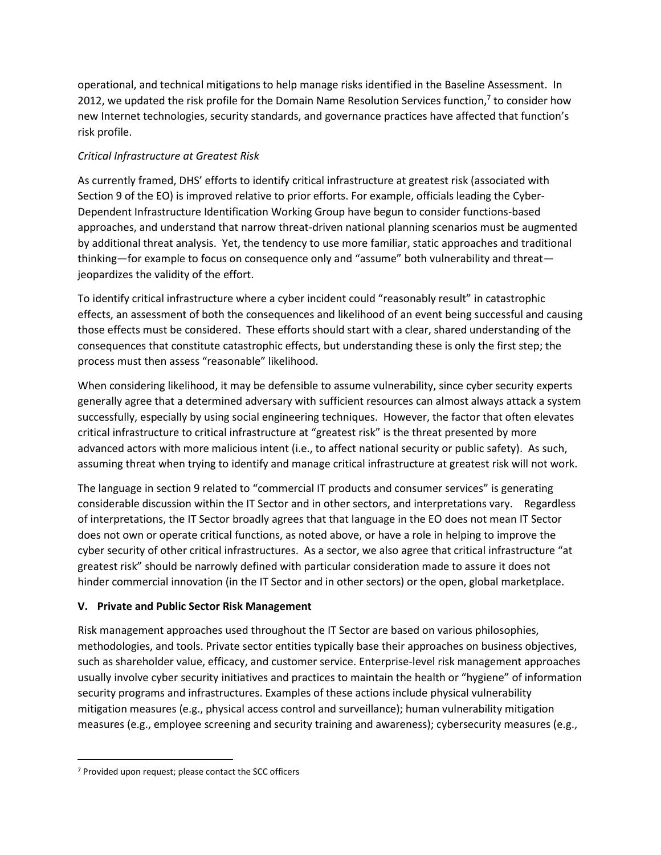operational, and technical mitigations to help manage risks identified in the Baseline Assessment. In 2012, we updated the risk profile for the Domain Name Resolution Services function,<sup>7</sup> to consider how new Internet technologies, security standards, and governance practices have affected that function's risk profile.

## *Critical Infrastructure at Greatest Risk*

As currently framed, DHS' efforts to identify critical infrastructure at greatest risk (associated with Section 9 of the EO) is improved relative to prior efforts. For example, officials leading the Cyber-Dependent Infrastructure Identification Working Group have begun to consider functions-based approaches, and understand that narrow threat-driven national planning scenarios must be augmented by additional threat analysis. Yet, the tendency to use more familiar, static approaches and traditional thinking—for example to focus on consequence only and "assume" both vulnerability and threat jeopardizes the validity of the effort.

To identify critical infrastructure where a cyber incident could "reasonably result" in catastrophic effects, an assessment of both the consequences and likelihood of an event being successful and causing those effects must be considered. These efforts should start with a clear, shared understanding of the consequences that constitute catastrophic effects, but understanding these is only the first step; the process must then assess "reasonable" likelihood.

When considering likelihood, it may be defensible to assume vulnerability, since cyber security experts generally agree that a determined adversary with sufficient resources can almost always attack a system successfully, especially by using social engineering techniques. However, the factor that often elevates critical infrastructure to critical infrastructure at "greatest risk" is the threat presented by more advanced actors with more malicious intent (i.e., to affect national security or public safety). As such, assuming threat when trying to identify and manage critical infrastructure at greatest risk will not work.

The language in section 9 related to "commercial IT products and consumer services" is generating considerable discussion within the IT Sector and in other sectors, and interpretations vary. Regardless of interpretations, the IT Sector broadly agrees that that language in the EO does not mean IT Sector does not own or operate critical functions, as noted above, or have a role in helping to improve the cyber security of other critical infrastructures. As a sector, we also agree that critical infrastructure "at greatest risk" should be narrowly defined with particular consideration made to assure it does not hinder commercial innovation (in the IT Sector and in other sectors) or the open, global marketplace.

# **V. Private and Public Sector Risk Management**

Risk management approaches used throughout the IT Sector are based on various philosophies, methodologies, and tools. Private sector entities typically base their approaches on business objectives, such as shareholder value, efficacy, and customer service. Enterprise-level risk management approaches usually involve cyber security initiatives and practices to maintain the health or "hygiene" of information security programs and infrastructures. Examples of these actions include physical vulnerability mitigation measures (e.g., physical access control and surveillance); human vulnerability mitigation measures (e.g., employee screening and security training and awareness); cybersecurity measures (e.g.,

 $\overline{a}$ 

<sup>7</sup> Provided upon request; please contact the SCC officers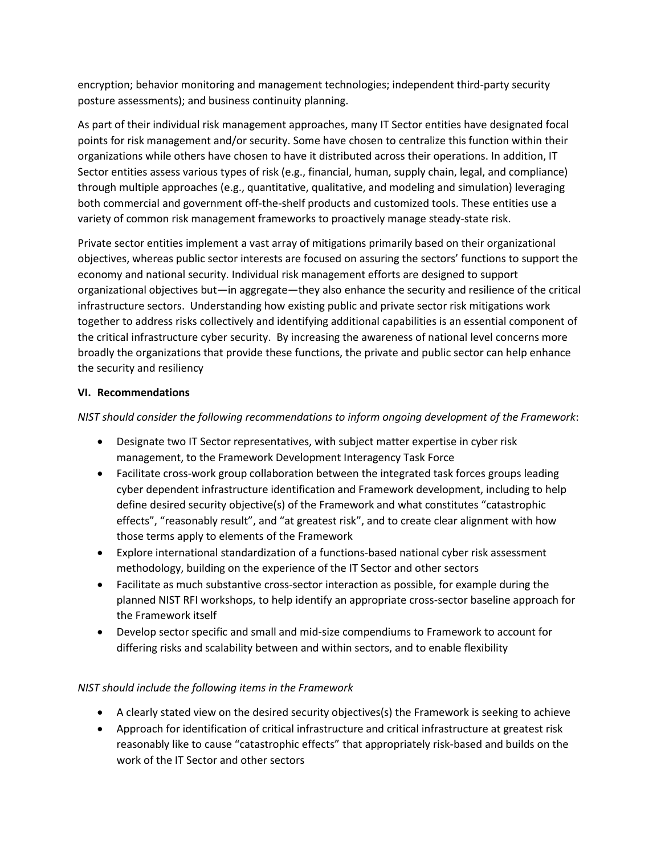encryption; behavior monitoring and management technologies; independent third-party security posture assessments); and business continuity planning.

As part of their individual risk management approaches, many IT Sector entities have designated focal points for risk management and/or security. Some have chosen to centralize this function within their organizations while others have chosen to have it distributed across their operations. In addition, IT Sector entities assess various types of risk (e.g., financial, human, supply chain, legal, and compliance) through multiple approaches (e.g., quantitative, qualitative, and modeling and simulation) leveraging both commercial and government off-the-shelf products and customized tools. These entities use a variety of common risk management frameworks to proactively manage steady-state risk.

Private sector entities implement a vast array of mitigations primarily based on their organizational objectives, whereas public sector interests are focused on assuring the sectors' functions to support the economy and national security. Individual risk management efforts are designed to support organizational objectives but—in aggregate—they also enhance the security and resilience of the critical infrastructure sectors. Understanding how existing public and private sector risk mitigations work together to address risks collectively and identifying additional capabilities is an essential component of the critical infrastructure cyber security. By increasing the awareness of national level concerns more broadly the organizations that provide these functions, the private and public sector can help enhance the security and resiliency

## **VI. Recommendations**

*NIST should consider the following recommendations to inform ongoing development of the Framework*:

- Designate two IT Sector representatives, with subject matter expertise in cyber risk management, to the Framework Development Interagency Task Force
- Facilitate cross-work group collaboration between the integrated task forces groups leading cyber dependent infrastructure identification and Framework development, including to help define desired security objective(s) of the Framework and what constitutes "catastrophic effects", "reasonably result", and "at greatest risk", and to create clear alignment with how those terms apply to elements of the Framework
- Explore international standardization of a functions-based national cyber risk assessment methodology, building on the experience of the IT Sector and other sectors
- Facilitate as much substantive cross-sector interaction as possible, for example during the planned NIST RFI workshops, to help identify an appropriate cross-sector baseline approach for the Framework itself
- Develop sector specific and small and mid-size compendiums to Framework to account for differing risks and scalability between and within sectors, and to enable flexibility

## *NIST should include the following items in the Framework*

- A clearly stated view on the desired security objectives(s) the Framework is seeking to achieve
- Approach for identification of critical infrastructure and critical infrastructure at greatest risk reasonably like to cause "catastrophic effects" that appropriately risk-based and builds on the work of the IT Sector and other sectors